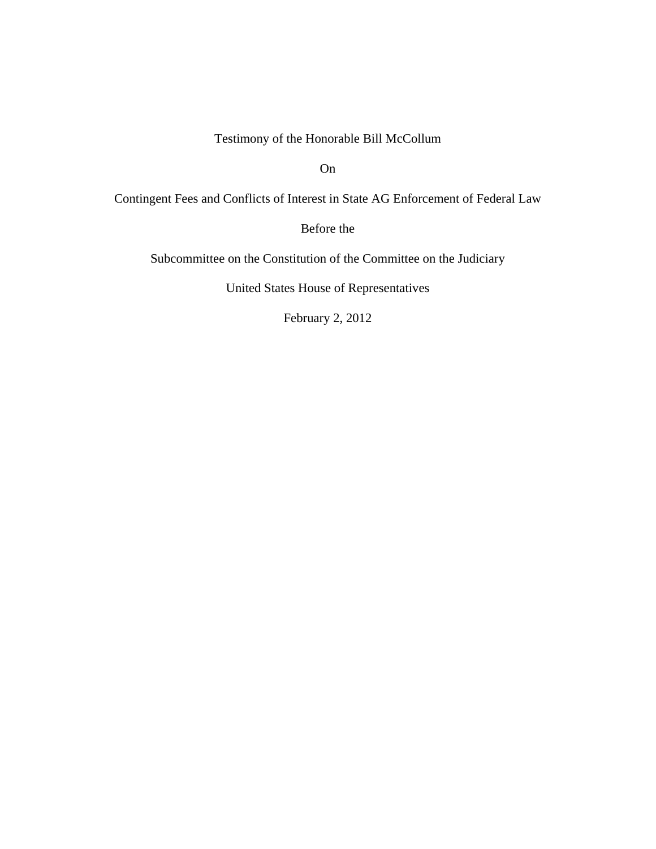Testimony of the Honorable Bill McCollum

On

Contingent Fees and Conflicts of Interest in State AG Enforcement of Federal Law

Before the

Subcommittee on the Constitution of the Committee on the Judiciary

United States House of Representatives

February 2, 2012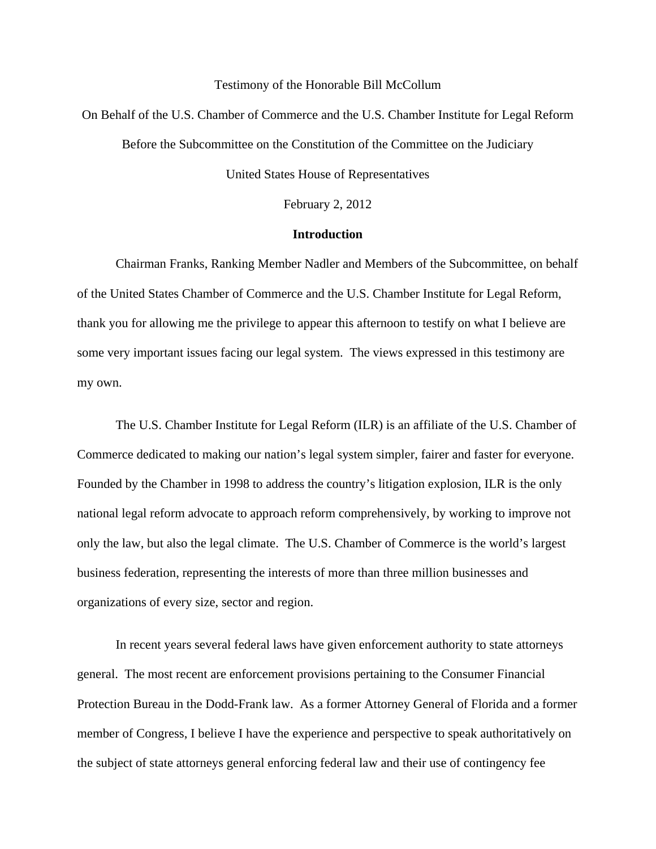#### Testimony of the Honorable Bill McCollum

On Behalf of the U.S. Chamber of Commerce and the U.S. Chamber Institute for Legal Reform

Before the Subcommittee on the Constitution of the Committee on the Judiciary

United States House of Representatives

February 2, 2012

### **Introduction**

Chairman Franks, Ranking Member Nadler and Members of the Subcommittee, on behalf of the United States Chamber of Commerce and the U.S. Chamber Institute for Legal Reform, thank you for allowing me the privilege to appear this afternoon to testify on what I believe are some very important issues facing our legal system. The views expressed in this testimony are my own.

The U.S. Chamber Institute for Legal Reform (ILR) is an affiliate of the U.S. Chamber of Commerce dedicated to making our nation's legal system simpler, fairer and faster for everyone. Founded by the Chamber in 1998 to address the country's litigation explosion, ILR is the only national legal reform advocate to approach reform comprehensively, by working to improve not only the law, but also the legal climate. The U.S. Chamber of Commerce is the world's largest business federation, representing the interests of more than three million businesses and organizations of every size, sector and region.

In recent years several federal laws have given enforcement authority to state attorneys general. The most recent are enforcement provisions pertaining to the Consumer Financial Protection Bureau in the Dodd-Frank law. As a former Attorney General of Florida and a former member of Congress, I believe I have the experience and perspective to speak authoritatively on the subject of state attorneys general enforcing federal law and their use of contingency fee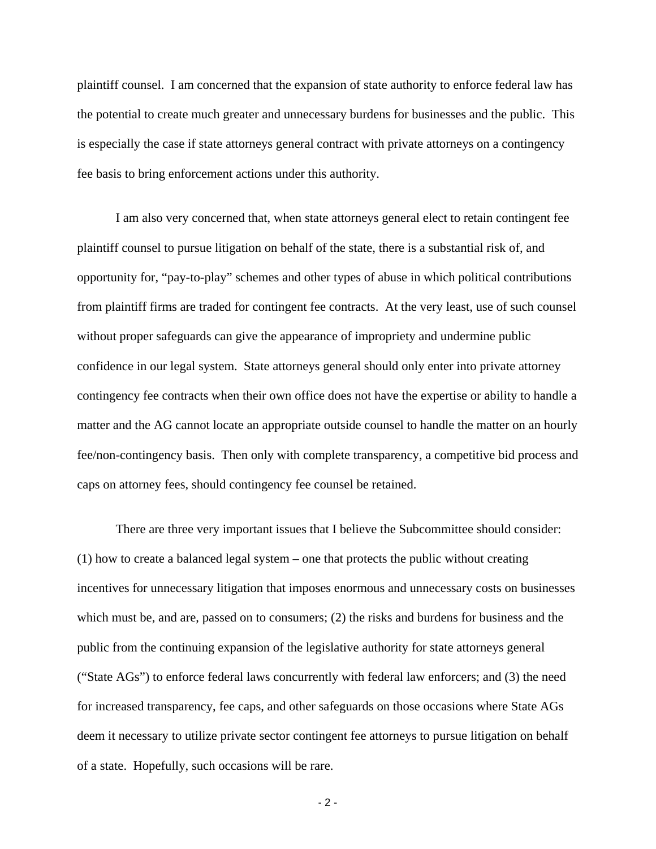plaintiff counsel. I am concerned that the expansion of state authority to enforce federal law has the potential to create much greater and unnecessary burdens for businesses and the public. This is especially the case if state attorneys general contract with private attorneys on a contingency fee basis to bring enforcement actions under this authority.

I am also very concerned that, when state attorneys general elect to retain contingent fee plaintiff counsel to pursue litigation on behalf of the state, there is a substantial risk of, and opportunity for, "pay-to-play" schemes and other types of abuse in which political contributions from plaintiff firms are traded for contingent fee contracts. At the very least, use of such counsel without proper safeguards can give the appearance of impropriety and undermine public confidence in our legal system. State attorneys general should only enter into private attorney contingency fee contracts when their own office does not have the expertise or ability to handle a matter and the AG cannot locate an appropriate outside counsel to handle the matter on an hourly fee/non-contingency basis. Then only with complete transparency, a competitive bid process and caps on attorney fees, should contingency fee counsel be retained.

 There are three very important issues that I believe the Subcommittee should consider: (1) how to create a balanced legal system – one that protects the public without creating incentives for unnecessary litigation that imposes enormous and unnecessary costs on businesses which must be, and are, passed on to consumers; (2) the risks and burdens for business and the public from the continuing expansion of the legislative authority for state attorneys general ("State AGs") to enforce federal laws concurrently with federal law enforcers; and (3) the need for increased transparency, fee caps, and other safeguards on those occasions where State AGs deem it necessary to utilize private sector contingent fee attorneys to pursue litigation on behalf of a state. Hopefully, such occasions will be rare.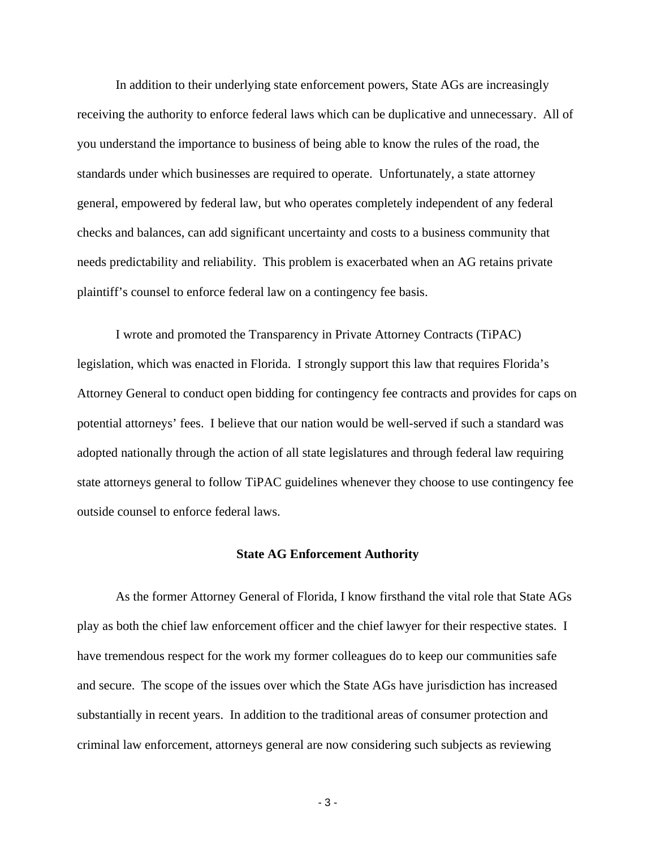In addition to their underlying state enforcement powers, State AGs are increasingly receiving the authority to enforce federal laws which can be duplicative and unnecessary. All of you understand the importance to business of being able to know the rules of the road, the standards under which businesses are required to operate. Unfortunately, a state attorney general, empowered by federal law, but who operates completely independent of any federal checks and balances, can add significant uncertainty and costs to a business community that needs predictability and reliability. This problem is exacerbated when an AG retains private plaintiff's counsel to enforce federal law on a contingency fee basis.

I wrote and promoted the Transparency in Private Attorney Contracts (TiPAC) legislation, which was enacted in Florida. I strongly support this law that requires Florida's Attorney General to conduct open bidding for contingency fee contracts and provides for caps on potential attorneys' fees. I believe that our nation would be well-served if such a standard was adopted nationally through the action of all state legislatures and through federal law requiring state attorneys general to follow TiPAC guidelines whenever they choose to use contingency fee outside counsel to enforce federal laws.

### **State AG Enforcement Authority**

As the former Attorney General of Florida, I know firsthand the vital role that State AGs play as both the chief law enforcement officer and the chief lawyer for their respective states. I have tremendous respect for the work my former colleagues do to keep our communities safe and secure. The scope of the issues over which the State AGs have jurisdiction has increased substantially in recent years. In addition to the traditional areas of consumer protection and criminal law enforcement, attorneys general are now considering such subjects as reviewing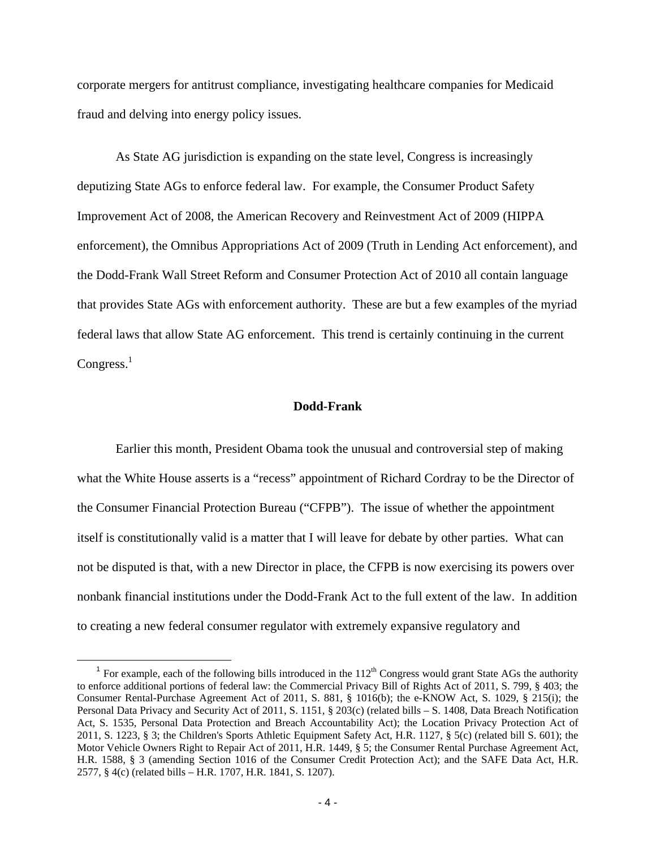corporate mergers for antitrust compliance, investigating healthcare companies for Medicaid fraud and delving into energy policy issues.

As State AG jurisdiction is expanding on the state level, Congress is increasingly deputizing State AGs to enforce federal law. For example, the Consumer Product Safety Improvement Act of 2008, the American Recovery and Reinvestment Act of 2009 (HIPPA enforcement), the Omnibus Appropriations Act of 2009 (Truth in Lending Act enforcement), and the Dodd-Frank Wall Street Reform and Consumer Protection Act of 2010 all contain language that provides State AGs with enforcement authority. These are but a few examples of the myriad federal laws that allow State AG enforcement. This trend is certainly continuing in the current  $Congress.<sup>1</sup>$ 

## **Dodd-Frank**

Earlier this month, President Obama took the unusual and controversial step of making what the White House asserts is a "recess" appointment of Richard Cordray to be the Director of the Consumer Financial Protection Bureau ("CFPB"). The issue of whether the appointment itself is constitutionally valid is a matter that I will leave for debate by other parties. What can not be disputed is that, with a new Director in place, the CFPB is now exercising its powers over nonbank financial institutions under the Dodd-Frank Act to the full extent of the law. In addition to creating a new federal consumer regulator with extremely expansive regulatory and

<sup>&</sup>lt;sup>1</sup> For example, each of the following bills introduced in the  $112<sup>th</sup>$  Congress would grant State AGs the authority to enforce additional portions of federal law: the Commercial Privacy Bill of Rights Act of 2011, S. 799, § 403; the Consumer Rental-Purchase Agreement Act of 2011, S. 881, § 1016(b); the e-KNOW Act, S. 1029, § 215(i); the Personal Data Privacy and Security Act of 2011, S. 1151, § 203(c) (related bills – S. 1408, Data Breach Notification Act, S. 1535, Personal Data Protection and Breach Accountability Act); the Location Privacy Protection Act of 2011, S. 1223, § 3; the Children's Sports Athletic Equipment Safety Act, H.R. 1127, § 5(c) (related bill S. 601); the Motor Vehicle Owners Right to Repair Act of 2011, H.R. 1449, § 5; the Consumer Rental Purchase Agreement Act, H.R. 1588, § 3 (amending Section 1016 of the Consumer Credit Protection Act); and the SAFE Data Act, H.R. 2577, § 4(c) (related bills – H.R. 1707, H.R. 1841, S. 1207).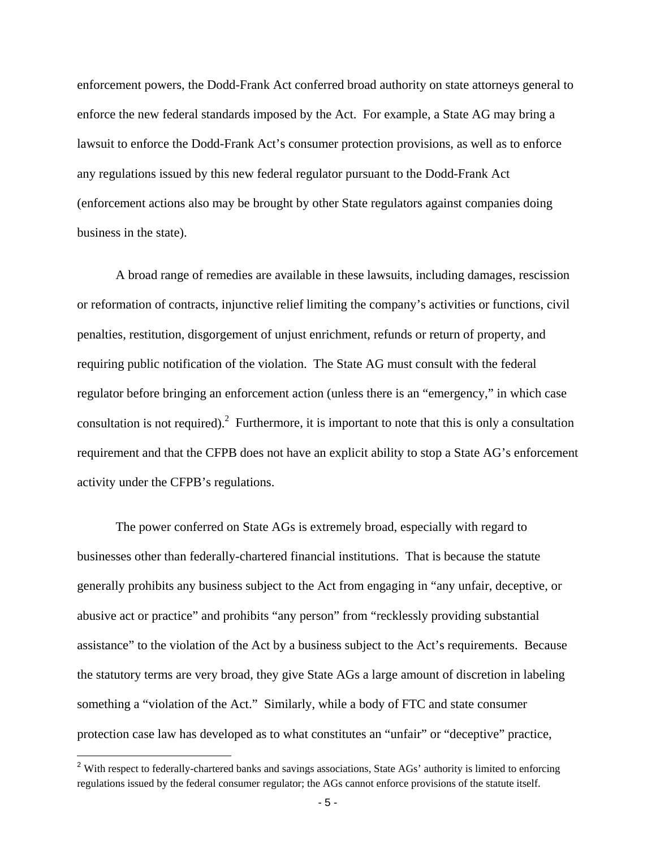enforcement powers, the Dodd-Frank Act conferred broad authority on state attorneys general to enforce the new federal standards imposed by the Act. For example, a State AG may bring a lawsuit to enforce the Dodd-Frank Act's consumer protection provisions, as well as to enforce any regulations issued by this new federal regulator pursuant to the Dodd-Frank Act (enforcement actions also may be brought by other State regulators against companies doing business in the state).

A broad range of remedies are available in these lawsuits, including damages, rescission or reformation of contracts, injunctive relief limiting the company's activities or functions, civil penalties, restitution, disgorgement of unjust enrichment, refunds or return of property, and requiring public notification of the violation. The State AG must consult with the federal regulator before bringing an enforcement action (unless there is an "emergency," in which case consultation is not required).<sup>2</sup> Furthermore, it is important to note that this is only a consultation requirement and that the CFPB does not have an explicit ability to stop a State AG's enforcement activity under the CFPB's regulations.

The power conferred on State AGs is extremely broad, especially with regard to businesses other than federally-chartered financial institutions. That is because the statute generally prohibits any business subject to the Act from engaging in "any unfair, deceptive, or abusive act or practice" and prohibits "any person" from "recklessly providing substantial assistance" to the violation of the Act by a business subject to the Act's requirements. Because the statutory terms are very broad, they give State AGs a large amount of discretion in labeling something a "violation of the Act." Similarly, while a body of FTC and state consumer protection case law has developed as to what constitutes an "unfair" or "deceptive" practice,

l

<sup>&</sup>lt;sup>2</sup> With respect to federally-chartered banks and savings associations, State AGs' authority is limited to enforcing regulations issued by the federal consumer regulator; the AGs cannot enforce provisions of the statute itself.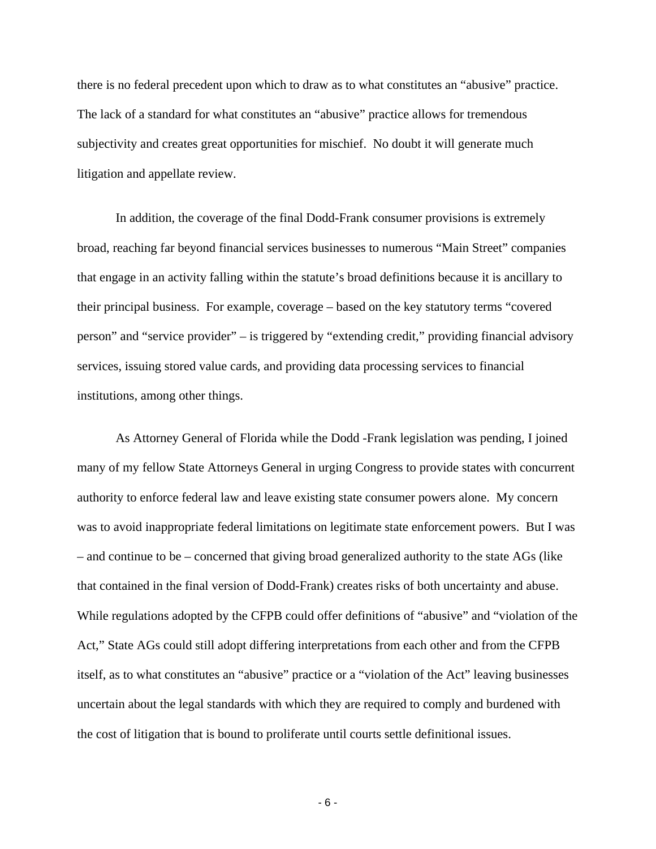there is no federal precedent upon which to draw as to what constitutes an "abusive" practice. The lack of a standard for what constitutes an "abusive" practice allows for tremendous subjectivity and creates great opportunities for mischief. No doubt it will generate much litigation and appellate review.

In addition, the coverage of the final Dodd-Frank consumer provisions is extremely broad, reaching far beyond financial services businesses to numerous "Main Street" companies that engage in an activity falling within the statute's broad definitions because it is ancillary to their principal business. For example, coverage – based on the key statutory terms "covered person" and "service provider" – is triggered by "extending credit," providing financial advisory services, issuing stored value cards, and providing data processing services to financial institutions, among other things.

As Attorney General of Florida while the Dodd -Frank legislation was pending, I joined many of my fellow State Attorneys General in urging Congress to provide states with concurrent authority to enforce federal law and leave existing state consumer powers alone. My concern was to avoid inappropriate federal limitations on legitimate state enforcement powers. But I was – and continue to be – concerned that giving broad generalized authority to the state AGs (like that contained in the final version of Dodd-Frank) creates risks of both uncertainty and abuse. While regulations adopted by the CFPB could offer definitions of "abusive" and "violation of the Act," State AGs could still adopt differing interpretations from each other and from the CFPB itself, as to what constitutes an "abusive" practice or a "violation of the Act" leaving businesses uncertain about the legal standards with which they are required to comply and burdened with the cost of litigation that is bound to proliferate until courts settle definitional issues.

- 6 -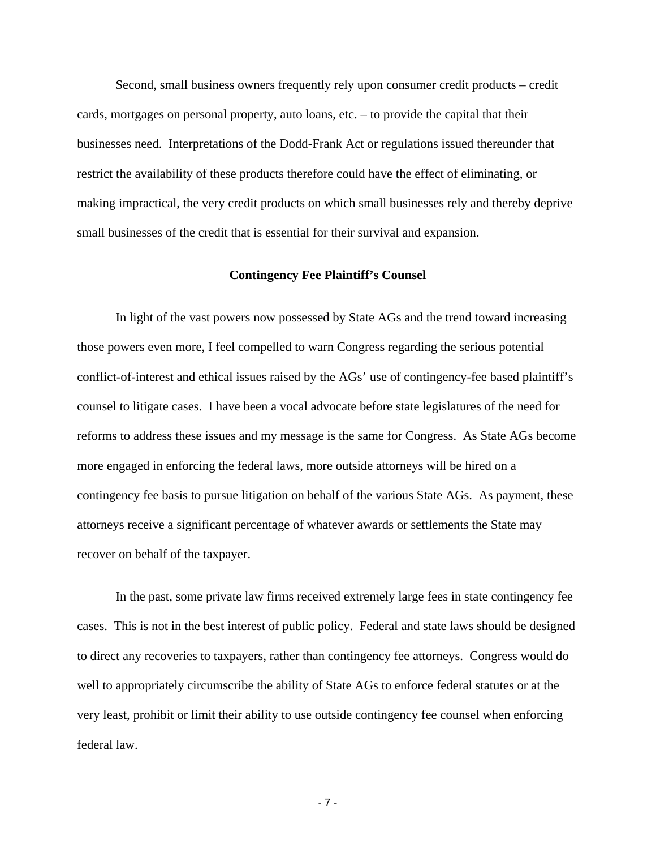Second, small business owners frequently rely upon consumer credit products – credit cards, mortgages on personal property, auto loans, etc. – to provide the capital that their businesses need. Interpretations of the Dodd-Frank Act or regulations issued thereunder that restrict the availability of these products therefore could have the effect of eliminating, or making impractical, the very credit products on which small businesses rely and thereby deprive small businesses of the credit that is essential for their survival and expansion.

### **Contingency Fee Plaintiff's Counsel**

In light of the vast powers now possessed by State AGs and the trend toward increasing those powers even more, I feel compelled to warn Congress regarding the serious potential conflict-of-interest and ethical issues raised by the AGs' use of contingency-fee based plaintiff's counsel to litigate cases. I have been a vocal advocate before state legislatures of the need for reforms to address these issues and my message is the same for Congress. As State AGs become more engaged in enforcing the federal laws, more outside attorneys will be hired on a contingency fee basis to pursue litigation on behalf of the various State AGs. As payment, these attorneys receive a significant percentage of whatever awards or settlements the State may recover on behalf of the taxpayer.

In the past, some private law firms received extremely large fees in state contingency fee cases. This is not in the best interest of public policy. Federal and state laws should be designed to direct any recoveries to taxpayers, rather than contingency fee attorneys. Congress would do well to appropriately circumscribe the ability of State AGs to enforce federal statutes or at the very least, prohibit or limit their ability to use outside contingency fee counsel when enforcing federal law.

- 7 -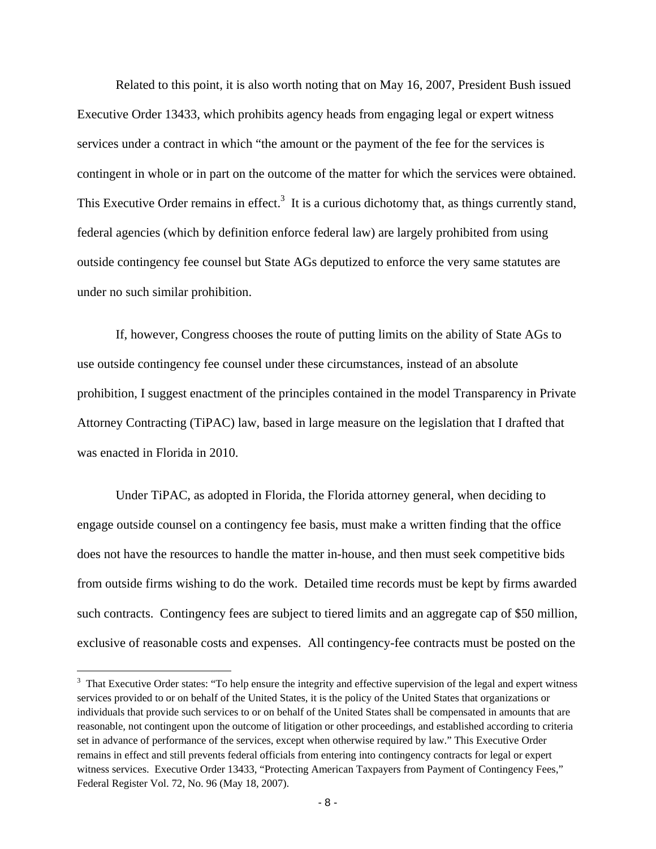Related to this point, it is also worth noting that on May 16, 2007, President Bush issued Executive Order 13433, which prohibits agency heads from engaging legal or expert witness services under a contract in which "the amount or the payment of the fee for the services is contingent in whole or in part on the outcome of the matter for which the services were obtained. This Executive Order remains in effect.<sup>3</sup> It is a curious dichotomy that, as things currently stand, federal agencies (which by definition enforce federal law) are largely prohibited from using outside contingency fee counsel but State AGs deputized to enforce the very same statutes are under no such similar prohibition.

If, however, Congress chooses the route of putting limits on the ability of State AGs to use outside contingency fee counsel under these circumstances, instead of an absolute prohibition, I suggest enactment of the principles contained in the model Transparency in Private Attorney Contracting (TiPAC) law, based in large measure on the legislation that I drafted that was enacted in Florida in 2010.

Under TiPAC, as adopted in Florida, the Florida attorney general, when deciding to engage outside counsel on a contingency fee basis, must make a written finding that the office does not have the resources to handle the matter in-house, and then must seek competitive bids from outside firms wishing to do the work. Detailed time records must be kept by firms awarded such contracts. Contingency fees are subject to tiered limits and an aggregate cap of \$50 million, exclusive of reasonable costs and expenses. All contingency-fee contracts must be posted on the

l

 $3$  That Executive Order states: "To help ensure the integrity and effective supervision of the legal and expert witness services provided to or on behalf of the United States, it is the policy of the United States that organizations or individuals that provide such services to or on behalf of the United States shall be compensated in amounts that are reasonable, not contingent upon the outcome of litigation or other proceedings, and established according to criteria set in advance of performance of the services, except when otherwise required by law." This Executive Order remains in effect and still prevents federal officials from entering into contingency contracts for legal or expert witness services. Executive Order 13433, "Protecting American Taxpayers from Payment of Contingency Fees," Federal Register Vol. 72, No. 96 (May 18, 2007).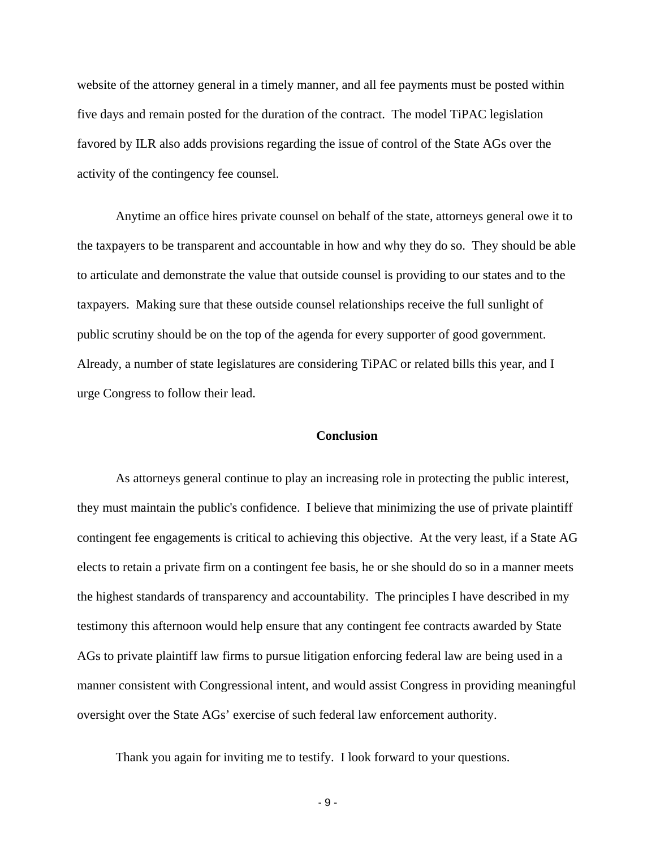website of the attorney general in a timely manner, and all fee payments must be posted within five days and remain posted for the duration of the contract. The model TiPAC legislation favored by ILR also adds provisions regarding the issue of control of the State AGs over the activity of the contingency fee counsel.

Anytime an office hires private counsel on behalf of the state, attorneys general owe it to the taxpayers to be transparent and accountable in how and why they do so. They should be able to articulate and demonstrate the value that outside counsel is providing to our states and to the taxpayers. Making sure that these outside counsel relationships receive the full sunlight of public scrutiny should be on the top of the agenda for every supporter of good government. Already, a number of state legislatures are considering TiPAC or related bills this year, and I urge Congress to follow their lead.

## **Conclusion**

As attorneys general continue to play an increasing role in protecting the public interest, they must maintain the public's confidence. I believe that minimizing the use of private plaintiff contingent fee engagements is critical to achieving this objective. At the very least, if a State AG elects to retain a private firm on a contingent fee basis, he or she should do so in a manner meets the highest standards of transparency and accountability. The principles I have described in my testimony this afternoon would help ensure that any contingent fee contracts awarded by State AGs to private plaintiff law firms to pursue litigation enforcing federal law are being used in a manner consistent with Congressional intent, and would assist Congress in providing meaningful oversight over the State AGs' exercise of such federal law enforcement authority.

Thank you again for inviting me to testify. I look forward to your questions.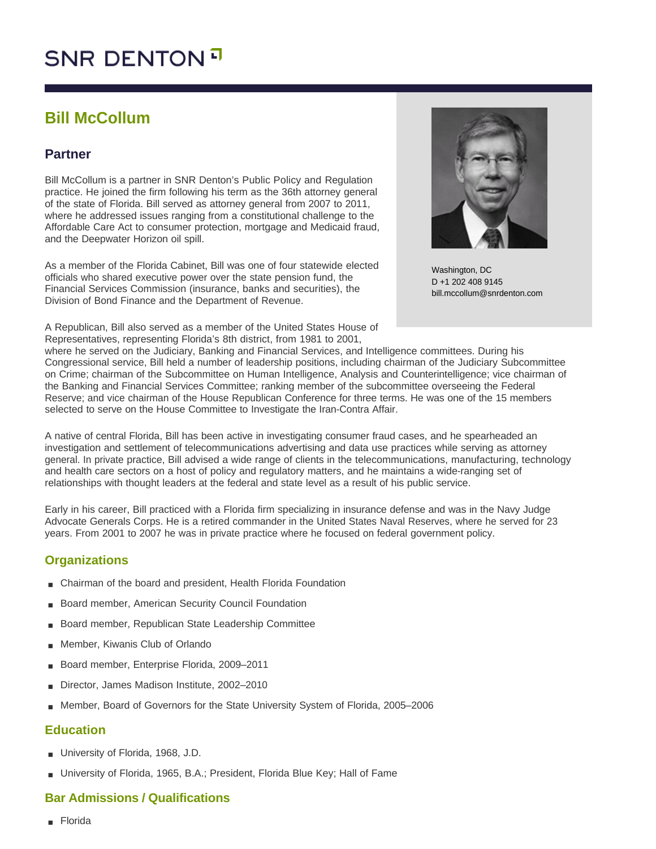# **SNR DENTON**

# **Bill McCollum**

# **Partner**

Bill McCollum is a partner in SNR Denton's Public Policy and Regulation practice. He joined the firm following his term as the 36th attorney general of the state of Florida. Bill served as attorney general from 2007 to 2011, where he addressed issues ranging from a constitutional challenge to the Affordable Care Act to consumer protection, mortgage and Medicaid fraud, and the Deepwater Horizon oil spill.

As a member of the Florida Cabinet, Bill was one of four statewide elected officials who shared executive power over the state pension fund, the Financial Services Commission (insurance, banks and securities), the Division of Bond Finance and the Department of Revenue.

A Republican, Bill also served as a member of the United States House of Representatives, representing Florida's 8th district, from 1981 to 2001,



Washington, DC D +1 202 408 9145 bill.mccollum@snrdenton.com

where he served on the Judiciary, Banking and Financial Services, and Intelligence committees. During his Congressional service, Bill held a number of leadership positions, including chairman of the Judiciary Subcommittee on Crime; chairman of the Subcommittee on Human Intelligence, Analysis and Counterintelligence; vice chairman of the Banking and Financial Services Committee; ranking member of the subcommittee overseeing the Federal Reserve; and vice chairman of the House Republican Conference for three terms. He was one of the 15 members selected to serve on the House Committee to Investigate the Iran-Contra Affair.

A native of central Florida, Bill has been active in investigating consumer fraud cases, and he spearheaded an investigation and settlement of telecommunications advertising and data use practices while serving as attorney general. In private practice, Bill advised a wide range of clients in the telecommunications, manufacturing, technology and health care sectors on a host of policy and regulatory matters, and he maintains a wide-ranging set of relationships with thought leaders at the federal and state level as a result of his public service.

Early in his career, Bill practiced with a Florida firm specializing in insurance defense and was in the Navy Judge Advocate Generals Corps. He is a retired commander in the United States Naval Reserves, where he served for 23 years. From 2001 to 2007 he was in private practice where he focused on federal government policy.

# **Organizations**

- Chairman of the board and president, Health Florida Foundation
- Board member, American Security Council Foundation
- Board member, Republican State Leadership Committee
- Member, Kiwanis Club of Orlando
- Board member, Enterprise Florida, 2009-2011
- Director, James Madison Institute, 2002-2010
- Member, Board of Governors for the State University System of Florida, 2005–2006

### **Education**

- University of Florida, 1968, J.D.
- University of Florida, 1965, B.A.; President, Florida Blue Key; Hall of Fame

# **Bar Admissions / Qualifications**

■ Florida